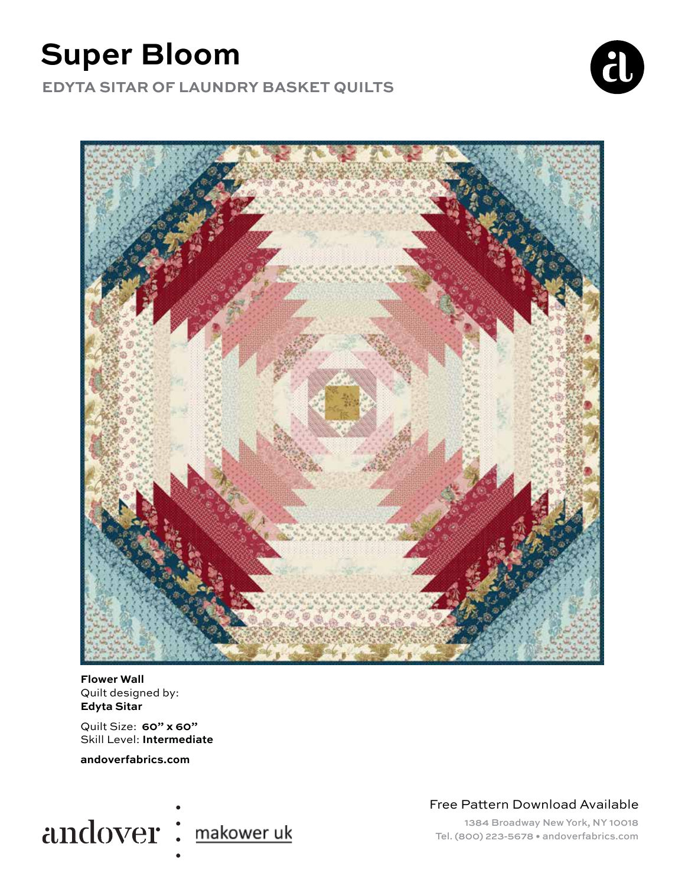# **Super Bloom**

**EDYTA SITAR OF LAUNDRY BASKET QUILTS**





**Flower Wall** Quilt designed by: **Edyta Sitar**

Quilt Size: **60" x 60"** Skill Level: **Intermediate**

**andoverfabrics.com**



Free Pattern Download Available

1384 Broadway New York, NY 10018 Tel. (800) 223-5678 • andoverfabrics.com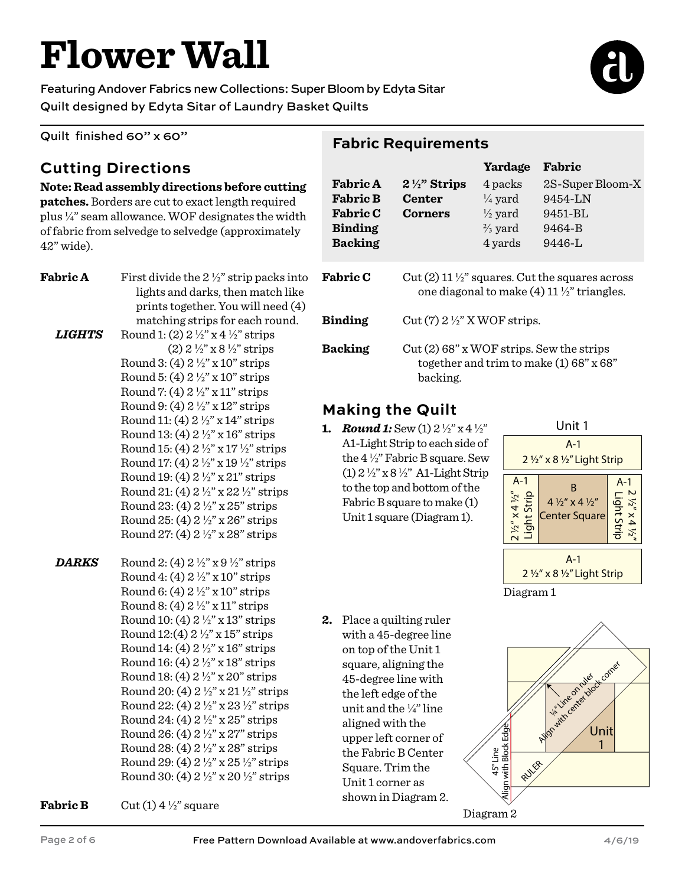# **Flower Wall**

Featuring Andover Fabrics new Collections: Super Bloom by Edyta Sitar Quilt designed by Edyta Sitar of Laundry Basket Quilts

Quilt finished 60" x 60"

## **Cutting Directions**

#### **Note: Read assembly directions before cutting**

**patches.** Borders are cut to exact length required plus ¼" seam allowance. WOF designates the width of fabric from selvedge to selvedge (approximately 42" wide).

| <b>Fabric A</b>      | First divide the $2\frac{1}{2}$ " strip packs into<br>lights and darks, then match like<br>prints together. You will need (4) | $\mathbf{F}$ |
|----------------------|-------------------------------------------------------------------------------------------------------------------------------|--------------|
|                      | matching strips for each round.                                                                                               | В            |
| <i><b>LIGHTS</b></i> | Round 1: (2) $2\frac{1}{2}$ " x 4 $\frac{1}{2}$ " strips                                                                      |              |
|                      | $(2)$ 2 $\frac{1}{2}$ " x 8 $\frac{1}{2}$ " strips                                                                            | B            |
|                      | Round 3: (4) $2\frac{1}{2}$ " x 10" strips                                                                                    |              |
|                      | Round 5: (4) $2\frac{1}{2}$ " x 10" strips                                                                                    |              |
|                      | Round 7: (4) $2\frac{1}{2}$ " x 11" strips                                                                                    |              |
|                      | Round 9: (4) $2\frac{1}{2}$ " x 12" strips                                                                                    | N            |
|                      | Round 11: (4) $2\frac{1}{2}$ " x 14" strips                                                                                   | 1.           |
|                      | Round 13: (4) $2\frac{1}{2}$ " x 16" strips                                                                                   |              |
|                      | Round 15: (4) $2\frac{1}{2}$ " x 17 $\frac{1}{2}$ " strips                                                                    |              |
|                      | Round 17: (4) $2\frac{1}{2}$ " x 19 $\frac{1}{2}$ " strips                                                                    |              |
|                      | Round 19: (4) $2\frac{1}{2}$ " x 21" strips                                                                                   |              |
|                      | Round 21: (4) $2\frac{1}{2}$ " x 22 $\frac{1}{2}$ " strips                                                                    |              |
|                      | Round 23: (4) $2\frac{1}{2}$ " x 25" strips                                                                                   |              |
|                      | Round 25: (4) $2\frac{1}{2}$ " x 26" strips                                                                                   |              |
|                      | Round 27: (4) $2\frac{1}{2}$ " x 28" strips                                                                                   |              |
| <b>DARKS</b>         | Round 2: (4) $2\frac{1}{2}$ " x 9 $\frac{1}{2}$ " strips                                                                      |              |
|                      | Round 4: (4) $2\frac{1}{2}$ " x 10" strips                                                                                    |              |
|                      | Round 6: (4) $2\frac{1}{2}$ " x 10" strips                                                                                    |              |
|                      | Round 8: (4) $2\frac{1}{2}$ " x 11" strips                                                                                    |              |
|                      | Round 10: (4) $2\frac{1}{2}$ " x 13" strips                                                                                   | 2.           |
|                      | Round 12:(4) $2\frac{1}{2}$ " x 15" strips                                                                                    |              |
|                      | Round 14: (4) $2\frac{1}{2}$ " x 16" strips                                                                                   |              |
|                      | Round 16: (4) $2\frac{1}{2}$ " x 18" strips                                                                                   |              |
|                      | Round 18: (4) $2\frac{1}{2}$ " x 20" strips                                                                                   |              |
|                      | Round 20: (4) 2 1/2" x 21 1/2" strips                                                                                         |              |
|                      | Round 22: (4) 2 1/2" x 23 1/2" strips                                                                                         |              |
|                      | Round 24: (4) $2\frac{1}{2}$ " x 25" strips                                                                                   |              |
|                      | Round 26: (4) $2\frac{1}{2}$ " x 27" strips                                                                                   |              |
|                      | Round 28: (4) 2 1/2" x 28" strips                                                                                             |              |
|                      | Round 29: (4) 2 1/2" x 25 1/2" strips                                                                                         |              |
|                      | Round 30: (4) $2\frac{1}{2}$ " x 20 $\frac{1}{2}$ " strips                                                                    |              |

**Fabric B** Cut  $(1)$  4  $\frac{1}{2}$ " square

#### **Fabric Requirements**

|                 |                                                                                                                      | Yardage            | Fabric           |  |  |
|-----------------|----------------------------------------------------------------------------------------------------------------------|--------------------|------------------|--|--|
| <b>Fabric A</b> | $2\frac{1}{2}$ " Strips                                                                                              | 4 packs            | 2S-Super Bloom-X |  |  |
| <b>Fabric B</b> | <b>Center</b>                                                                                                        | $\frac{1}{4}$ yard | 9454-LN          |  |  |
| <b>Fabric C</b> | <b>Corners</b>                                                                                                       | $\frac{1}{2}$ yard | 9451-BL          |  |  |
| <b>Binding</b>  |                                                                                                                      | $\frac{2}{3}$ yard | 9464-B           |  |  |
| <b>Backing</b>  |                                                                                                                      | 4 yards            | $9446 - 1$       |  |  |
| <b>Fabric C</b> | Cut (2) 11 $\frac{1}{2}$ squares. Cut the squares across<br>one diagonal to make $(4)$ 11 $\frac{1}{2}$ " triangles. |                    |                  |  |  |
| <b>Binding</b>  | Cut $(7)$ 2 $\frac{1}{2}$ " X WOF strips.                                                                            |                    |                  |  |  |
| <b>Backing</b>  | Cut (2) 68" x WOF strips. Sew the strips<br>together and trim to make $(1)$ 68" x 68"<br>backing.                    |                    |                  |  |  |

## **Making the Quilt**

*Round 1:* Sew (1)  $2\frac{1}{2}$ " x 4  $\frac{1}{2}$ " A1-Light Strip to each side of the 4 ½" Fabric B square. Sew (1) 2 ½" x 8 ½" A1-Light Strip to the top and bottom of the Fabric B square to make (1) Unit 1 square (Diagram 1).



Diagram 1

**2.** Place a quilting ruler with a 45-degree line on top of the Unit 1 square, aligning the 45-degree line with the left edge of the unit and the ¼" line aligned with the upper left corner of the Fabric B Center Square. Trim the Unit 1 corner as shown in Diagram 2.



Diagram 2



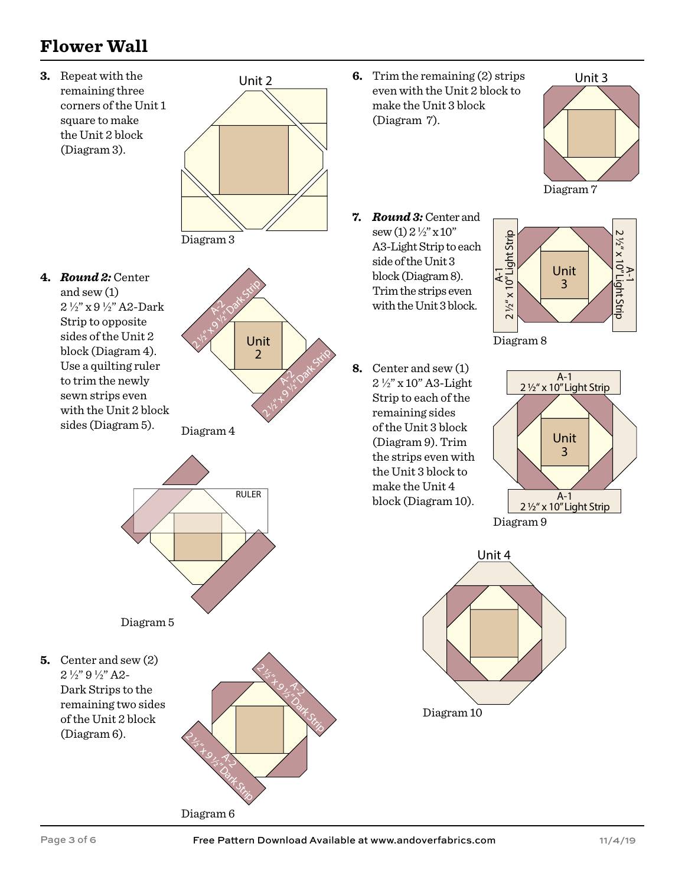# **Flower Wall**

**3.** Repeat with the remaining three corners of the Unit 1 square to make the Unit 2 block (Diagram 3).



**4.** *Round 2:* Center and sew (1) 2 ½" x 9 ½" A2-Dark Strip to opposite sides of the Unit 2 block (Diagram 4). Use a quilting ruler to trim the newly sewn strips even with the Unit 2 block sides (Diagram 5).



Diagram 4



Diagram 6

2 % x 9 % 1 % Date Strip

 $\sqrt{2}$ 

Diagram 5

**5.** Center and sew (2) 2 ½" 9 ½" A2- Dark Strips to the remaining two sides of the Unit 2 block (Diagram 6).

**6.** Trim the remaining (2) strips even with the Unit 2 block to make the Unit 3 block (Diagram 7).



Diagram 7

**7.** *Round 3:* Center and  $sew(1) 2 \frac{1}{2} x 10$ " A3-Light Strip to each side of the Unit 3 block (Diagram 8). Trim the strips even with the Unit 3 block.



Diagram 8

**8.** Center and sew (1) 2 ½" x 10" A3-Light Strip to each of the remaining sides of the Unit 3 block (Diagram 9). Trim the strips even with the Unit 3 block to make the Unit 4 block (Diagram 10).





2 % x 9 % x 5 % Dat Strip

 $\mathcal{J}_{\mathcal{L}}$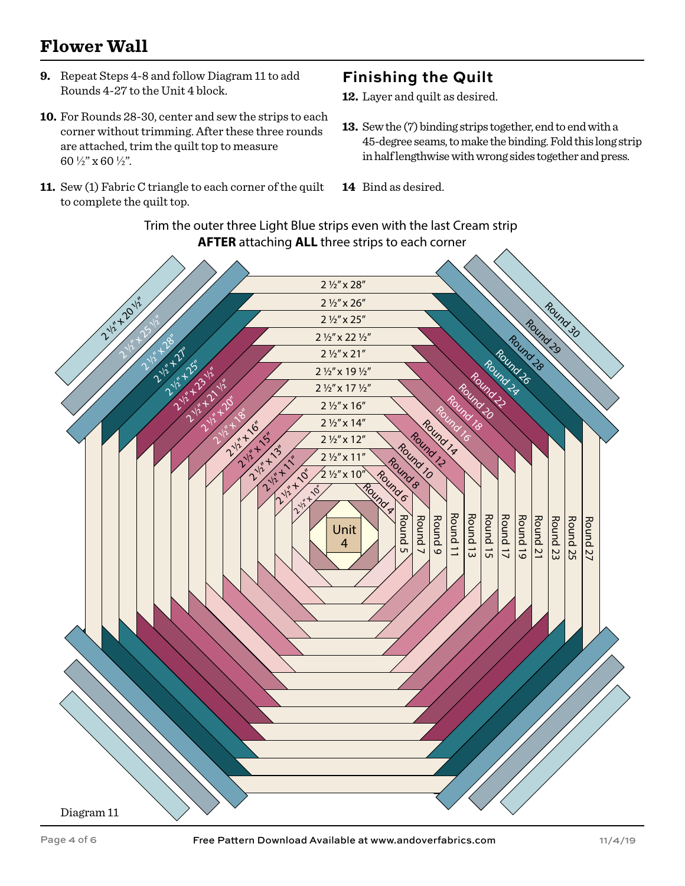### **Flower Wall**

- **9.** Repeat Steps 4-8 and follow Diagram 11 to add Rounds 4-27 to the Unit 4 block.
- **10.** For Rounds 28-30, center and sew the strips to each corner without trimming. After these three rounds are attached, trim the quilt top to measure 60 ½" x 60 ½".
- **11.** Sew (1) Fabric C triangle to each corner of the quilt to complete the quilt top.

#### **Finishing the Quilt**

- Layer and quilt as desired. **12.**
- **13.** Sew the (7) binding strips together, end to end with a 45-degree seams, to make the binding. Fold this long strip in half lengthwise with wrong sides together and press.
- 14 Bind as desired.

Trim the outer three Light Blue strips even with the last Cream strip **AFTER** attaching **ALL** three strips to each corner

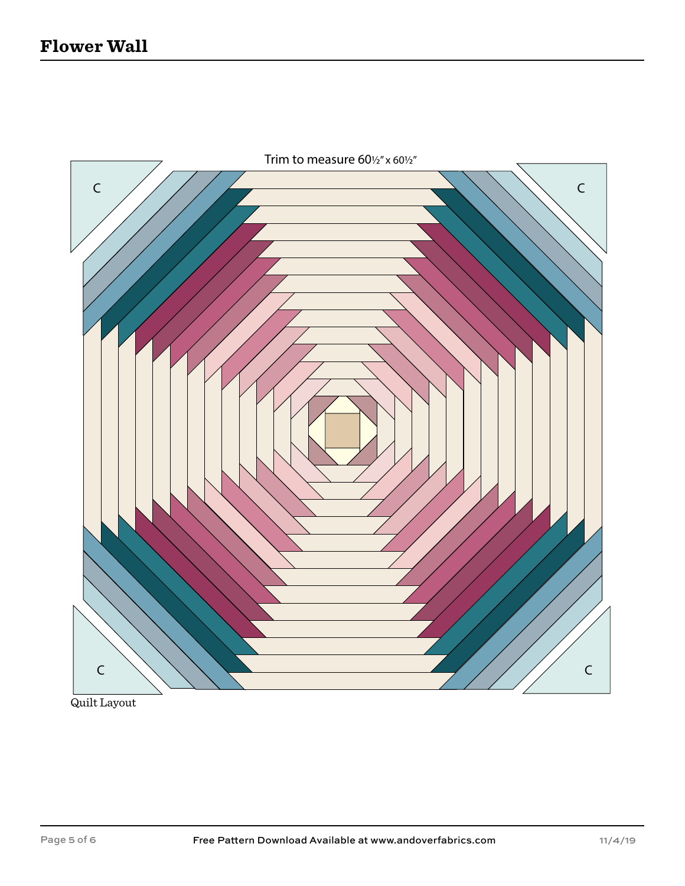